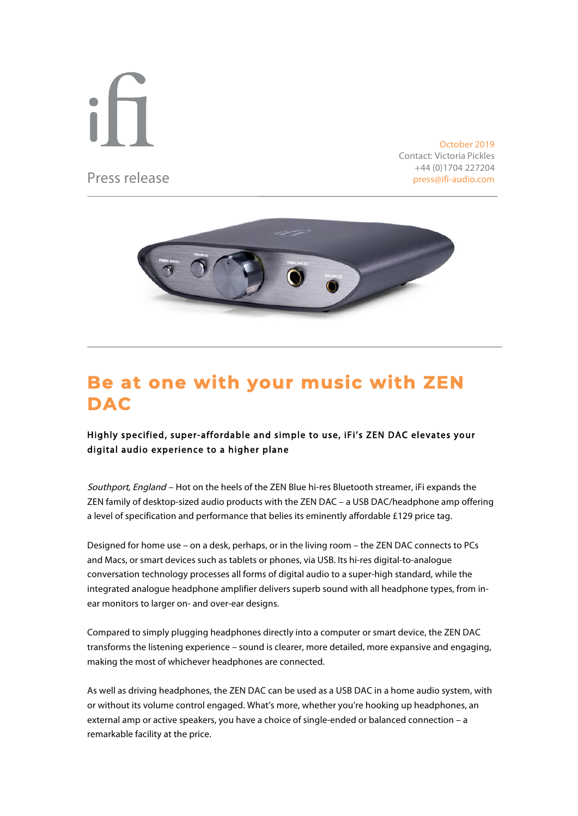Press release

 $\overline{a}$ 

October 2019 Contact: Victoria Pickles +44 (0)1704 227204 press@ifi-audio.com



# **Be at one with your music with ZEN DAC**

## Highly specified, super-affordable and simple to use, iFi's ZEN DAC elevates your digital audio experience to a higher plane

Southport, England - Hot on the heels of the ZEN Blue hi-res Bluetooth streamer, iFi expands the ZEN family of desktop-sized audio products with the ZEN DAC – a USB DAC/headphone amp offering a level of specification and performance that belies its eminently affordable £129 price tag.

Designed for home use – on a desk, perhaps, or in the living room – the ZEN DAC connects to PCs and Macs, or smart devices such as tablets or phones, via USB. Its hi-res digital-to-analogue conversation technology processes all forms of digital audio to a super-high standard, while the integrated analogue headphone amplifier delivers superb sound with all headphone types, from inear monitors to larger on- and over-ear designs.

Compared to simply plugging headphones directly into a computer or smart device, the ZEN DAC transforms the listening experience – sound is clearer, more detailed, more expansive and engaging, making the most of whichever headphones are connected.

As well as driving headphones, the ZEN DAC can be used as a USB DAC in a home audio system, with or without its volume control engaged. What's more, whether you're hooking up headphones, an external amp or active speakers, you have a choice of single-ended or balanced connection – a remarkable facility at the price.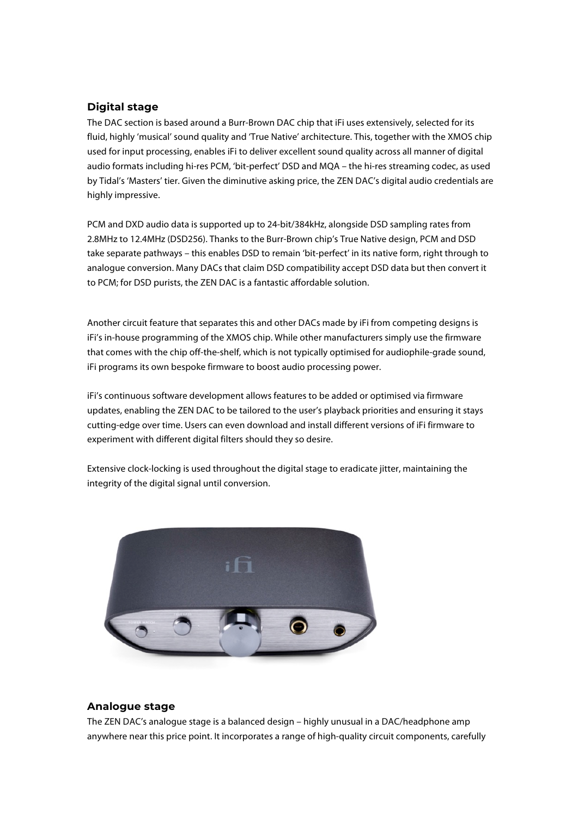## **Digital stage**

The DAC section is based around a Burr-Brown DAC chip that iFi uses extensively, selected for its fluid, highly 'musical' sound quality and 'True Native' architecture. This, together with the XMOS chip used for input processing, enables iFi to deliver excellent sound quality across all manner of digital audio formats including hi-res PCM, 'bit-perfect' DSD and MQA – the hi-res streaming codec, as used by Tidal's 'Masters' tier. Given the diminutive asking price, the ZEN DAC's digital audio credentials are highly impressive.

PCM and DXD audio data is supported up to 24-bit/384kHz, alongside DSD sampling rates from 2.8MHz to 12.4MHz (DSD256). Thanks to the Burr-Brown chip's True Native design, PCM and DSD take separate pathways – this enables DSD to remain 'bit-perfect' in its native form, right through to analogue conversion. Many DACs that claim DSD compatibility accept DSD data but then convert it to PCM; for DSD purists, the ZEN DAC is a fantastic affordable solution.

Another circuit feature that separates this and other DACs made by iFi from competing designs is iFi's in-house programming of the XMOS chip. While other manufacturers simply use the firmware that comes with the chip off-the-shelf, which is not typically optimised for audiophile-grade sound, iFi programs its own bespoke firmware to boost audio processing power.

iFi's continuous software development allows features to be added or optimised via firmware updates, enabling the ZEN DAC to be tailored to the user's playback priorities and ensuring it stays cutting-edge over time. Users can even download and install different versions of iFi firmware to experiment with different digital filters should they so desire.

Extensive clock-locking is used throughout the digital stage to eradicate jitter, maintaining the integrity of the digital signal until conversion.



### **Analogue stage**

The ZEN DAC's analogue stage is a balanced design – highly unusual in a DAC/headphone amp anywhere near this price point. It incorporates a range of high-quality circuit components, carefully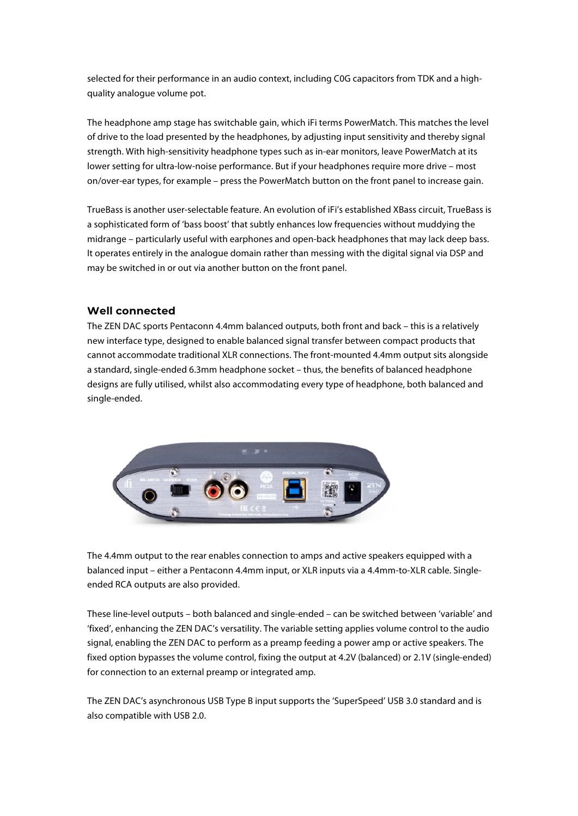selected for their performance in an audio context, including C0G capacitors from TDK and a highquality analogue volume pot.

The headphone amp stage has switchable gain, which iFi terms PowerMatch. This matches the level of drive to the load presented by the headphones, by adjusting input sensitivity and thereby signal strength. With high-sensitivity headphone types such as in-ear monitors, leave PowerMatch at its lower setting for ultra-low-noise performance. But if your headphones require more drive – most on/over-ear types, for example – press the PowerMatch button on the front panel to increase gain.

TrueBass is another user-selectable feature. An evolution of iFi's established XBass circuit, TrueBass is a sophisticated form of 'bass boost' that subtly enhances low frequencies without muddying the midrange – particularly useful with earphones and open-back headphones that may lack deep bass. It operates entirely in the analogue domain rather than messing with the digital signal via DSP and may be switched in or out via another button on the front panel.

### **Well connected**

The ZEN DAC sports Pentaconn 4.4mm balanced outputs, both front and back – this is a relatively new interface type, designed to enable balanced signal transfer between compact products that cannot accommodate traditional XLR connections. The front-mounted 4.4mm output sits alongside a standard, single-ended 6.3mm headphone socket – thus, the benefits of balanced headphone designs are fully utilised, whilst also accommodating every type of headphone, both balanced and single-ended.



The 4.4mm output to the rear enables connection to amps and active speakers equipped with a balanced input – either a Pentaconn 4.4mm input, or XLR inputs via a 4.4mm-to-XLR cable. Singleended RCA outputs are also provided.

These line-level outputs – both balanced and single-ended – can be switched between 'variable' and 'fixed', enhancing the ZEN DAC's versatility. The variable setting applies volume control to the audio signal, enabling the ZEN DAC to perform as a preamp feeding a power amp or active speakers. The fixed option bypasses the volume control, fixing the output at 4.2V (balanced) or 2.1V (single-ended) for connection to an external preamp or integrated amp.

The ZEN DAC's asynchronous USB Type B input supports the 'SuperSpeed' USB 3.0 standard and is also compatible with USB 2.0.